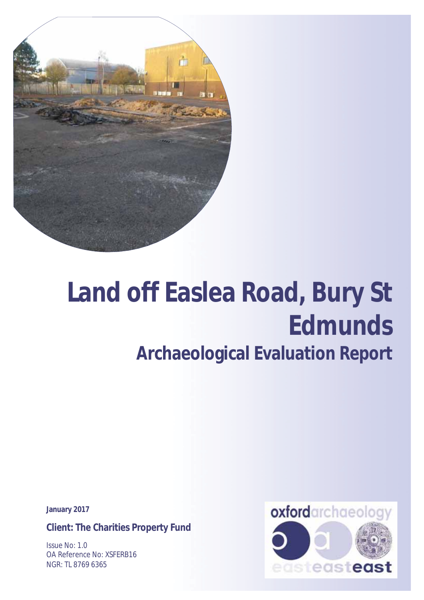

# **Land off Easlea Road, Bury St Edmunds Archaeological Evaluation Report**

**January 2017** 

**Client: The Charities Property Fund** 

Issue No: 1.0 OA Reference No: XSFERB16 NGR: TL 8769 6365

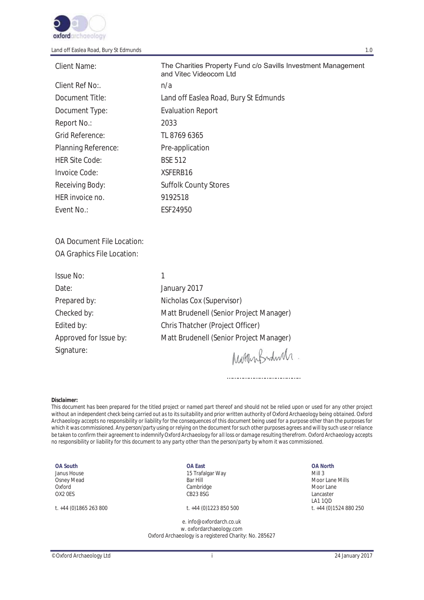

| <b>Client Name:</b>        | The Charities Property Fund c/o Savills Investment Management<br>and Vitec Videocom Ltd |
|----------------------------|-----------------------------------------------------------------------------------------|
| Client Ref No:.            | n/a                                                                                     |
| Document Title:            | Land off Easlea Road, Bury St Edmunds                                                   |
| Document Type:             | <b>Evaluation Report</b>                                                                |
| Report No.:                | 2033                                                                                    |
| Grid Reference:            | TL 8769 6365                                                                            |
| <b>Planning Reference:</b> | Pre-application                                                                         |
| <b>HER Site Code:</b>      | <b>BSE 512</b>                                                                          |
| Invoice Code:              | XSFERB16                                                                                |
| Receiving Body:            | <b>Suffolk County Stores</b>                                                            |
| HER invoice no.            | 9192518                                                                                 |
| Event No.:                 | ESF24950                                                                                |

OA Document File Location: OA Graphics File Location:

| <b>Issue No:</b>       |                                         |
|------------------------|-----------------------------------------|
| Date:                  | January 2017                            |
| Prepared by:           | Nicholas Cox (Supervisor)               |
| Checked by:            | Matt Brudenell (Senior Project Manager) |
| Edited by:             | Chris Thatcher (Project Officer)        |
| Approved for Issue by: | Matt Brudenell (Senior Project Manager) |
| Signature:             | MatthraBridge                           |

#### *Disclaimer:*

*This document has been prepared for the titled project or named part thereof and should not be relied upon or used for any other project without an independent check being carried out as to its suitability and prior written authority of Oxford Archaeology being obtained. Oxford Archaeology accepts no responsibility or liability for the consequences of this document being used for a purpose other than the purposes for which it was commissioned. Any person/party using or relying on the document for such other purposes agrees and will by such use or reliance be taken to confirm their agreement to indemnify Oxford Archaeology for all loss or damage resulting therefrom. Oxford Archaeology accepts no responsibility or liability for this document to any party other than the person/party by whom it was commissioned.* 

…………………………………..

**OA South** Janus House Osney Mead Oxford OX2 0ES

**OA East** 15 Trafalgar Way Bar Hill Cambridge CB23 8SG

e. info@oxfordarch.co.uk w. oxfordarchaeology.com Oxford Archaeology is a registered Charity: No. 285627

**OA North** Mill 3 Moor Lane Mills Moor Lane Lancaster LA1 1QD t. +44 (0)1865 263 800 t. +44 (0)1223 850 500 t. +44 (0)1524 880 250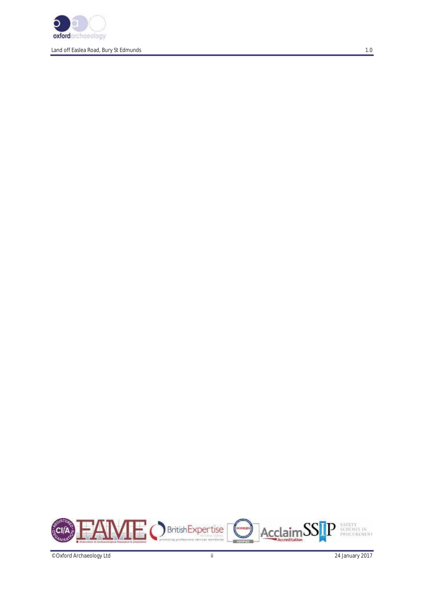





©Oxford Archaeology Ltd ii 24 January 2017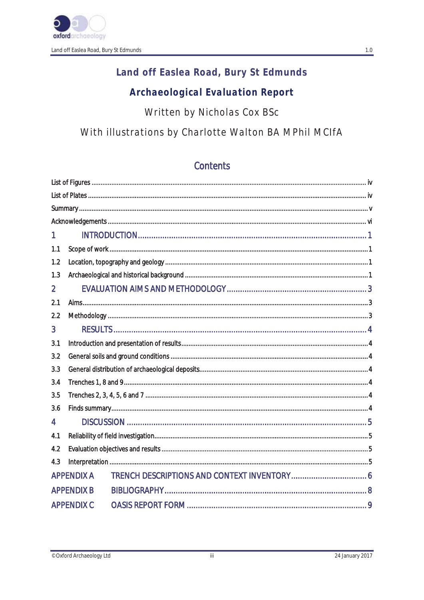

## Land off Easlea Road, Bury St Edmunds **Archaeological Evaluation Report** Written by Nicholas Cox BSc With illustrations by Charlotte Walton BA MPhil MCIfA

#### **Contents**

| 1              |                   |  |
|----------------|-------------------|--|
| 1.1            |                   |  |
| 1.2            |                   |  |
| 1.3            |                   |  |
| $\overline{2}$ |                   |  |
| 2.1            |                   |  |
| 2.2            |                   |  |
| 3              |                   |  |
| 3.1            |                   |  |
| 3.2            |                   |  |
| 3.3            |                   |  |
| 3.4            |                   |  |
| 3.5            |                   |  |
| 3.6            |                   |  |
| $\overline{4}$ |                   |  |
| 4.1            |                   |  |
| 4.2            |                   |  |
| 4.3            |                   |  |
|                | <b>APPENDIX A</b> |  |
|                | <b>APPENDIX B</b> |  |
|                | <b>APPENDIX C</b> |  |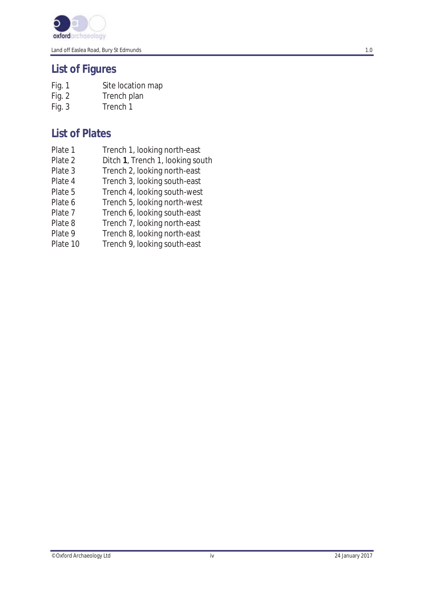

#### **List of Figures**

- Fig. 1 Site location map<br>Fig. 2 Trench plan
- Trench plan
- Fig. 3 Trench 1

### **List of Plates**

- Plate 1 Trench 1, looking north-east
- Plate 2 Ditch **1**, Trench 1, looking south
- Plate 3 Trench 2, looking north-east
- Plate 4 Trench 3, looking south-east
- Plate 5 Trench 4, looking south-west
- Plate 6 Trench 5, looking north-west
- Plate 7 Trench 6, looking south-east
- Plate 8 Trench 7, looking north-east
- Plate 9 Trench 8, looking north-east
- Plate 10 Trench 9, looking south-east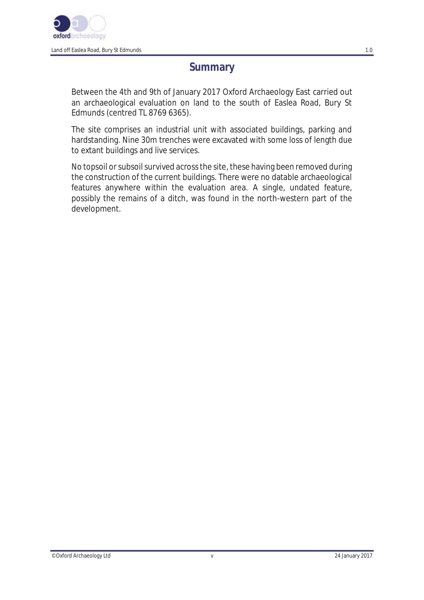

#### **Summary**

Between the 4th and 9th of January 2017 Oxford Archaeology East carried out an archaeological evaluation on land to the south of Easlea Road, Bury St Edmunds (centred TL 8769 6365).

The site comprises an industrial unit with associated buildings, parking and hardstanding. Nine 30m trenches were excavated with some loss of length due to extant buildings and live services.

No topsoil or subsoil survived across the site, these having been removed during the construction of the current buildings. There were no datable archaeological features anywhere within the evaluation area. A single, undated feature, possibly the remains of a ditch, was found in the north-western part of the development.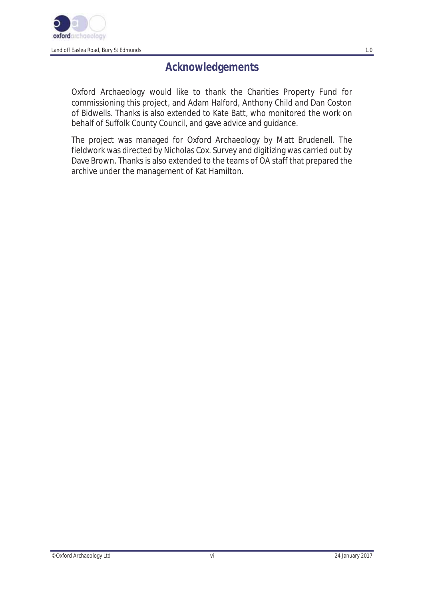

#### **Acknowledgements**

Oxford Archaeology would like to thank the Charities Property Fund for commissioning this project, and Adam Halford, Anthony Child and Dan Coston of Bidwells. Thanks is also extended to Kate Batt, who monitored the work on behalf of Suffolk County Council, and gave advice and guidance.

The project was managed for Oxford Archaeology by Matt Brudenell. The fieldwork was directed by Nicholas Cox. Survey and digitizing was carried out by Dave Brown. Thanks is also extended to the teams of OA staff that prepared the archive under the management of Kat Hamilton.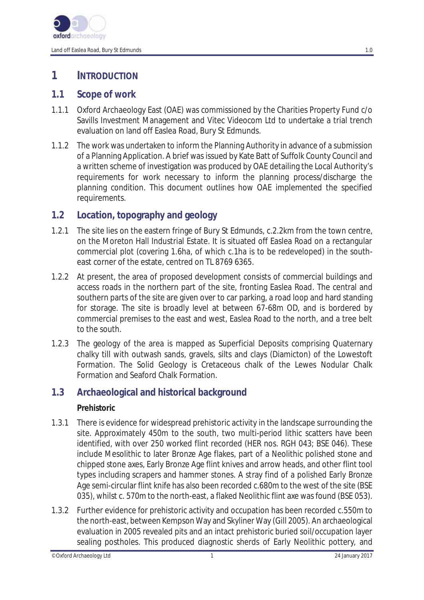

#### **1 INTRODUCTION**

#### **1.1 Scope of work**

- 1.1.1 Oxford Archaeology East (OAE) was commissioned by the Charities Property Fund c/o Savills Investment Management and Vitec Videocom Ltd to undertake a trial trench evaluation on land off Easlea Road, Bury St Edmunds.
- 1.1.2 The work was undertaken to inform the Planning Authority in advance of a submission of a Planning Application. A brief was issued by Kate Batt of Suffolk County Council and a written scheme of investigation was produced by OAE detailing the Local Authority's requirements for work necessary to inform the planning process/discharge the planning condition. This document outlines how OAE implemented the specified requirements.

#### **1.2 Location, topography and geology**

- 1.2.1 The site lies on the eastern fringe of Bury St Edmunds, *c.*2.2km from the town centre, on the Moreton Hall Industrial Estate. It is situated off Easlea Road on a rectangular commercial plot (covering 1.6ha, of which *c.*1ha is to be redeveloped) in the southeast corner of the estate, centred on TL 8769 6365.
- 1.2.2 At present, the area of proposed development consists of commercial buildings and access roads in the northern part of the site, fronting Easlea Road. The central and southern parts of the site are given over to car parking, a road loop and hard standing for storage. The site is broadly level at between 67-68m OD, and is bordered by commercial premises to the east and west, Easlea Road to the north, and a tree belt to the south.
- 1.2.3 The geology of the area is mapped as Superficial Deposits comprising Quaternary chalky till with outwash sands, gravels, silts and clays (Diamicton) of the Lowestoft Formation. The Solid Geology is Cretaceous chalk of the Lewes Nodular Chalk Formation and Seaford Chalk Formation.

#### **1.3 Archaeological and historical background**

#### **Prehistoric**

- 1.3.1 There is evidence for widespread prehistoric activity in the landscape surrounding the site. Approximately 450m to the south, two multi-period lithic scatters have been identified, with over 250 worked flint recorded (HER nos. RGH 043; BSE 046). These include Mesolithic to later Bronze Age flakes, part of a Neolithic polished stone and chipped stone axes, Early Bronze Age flint knives and arrow heads, and other flint tool types including scrapers and hammer stones. A stray find of a polished Early Bronze Age semi-circular flint knife has also been recorded *c.*680m to the west of the site (BSE 035), whilst c. 570m to the north-east, a flaked Neolithic flint axe was found (BSE 053).
- 1.3.2 Further evidence for prehistoric activity and occupation has been recorded *c.*550m to the north-east, between Kempson Way and Skyliner Way (Gill 2005). An archaeological evaluation in 2005 revealed pits and an intact prehistoric buried soil/occupation layer sealing postholes. This produced diagnostic sherds of Early Neolithic pottery, and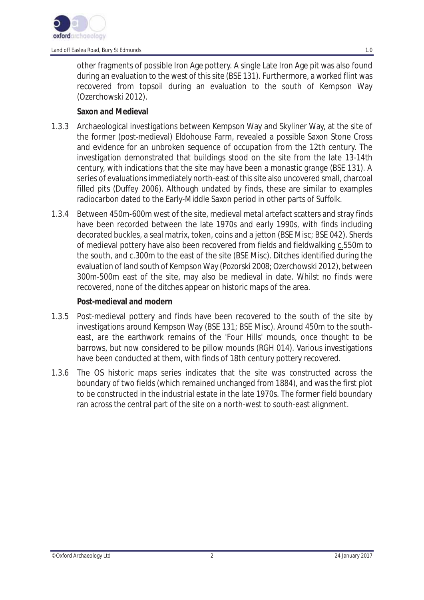

other fragments of possible Iron Age pottery. A single Late Iron Age pit was also found during an evaluation to the west of this site (BSE 131). Furthermore, a worked flint was recovered from topsoil during an evaluation to the south of Kempson Way (Ozerchowski 2012).

#### **Saxon and Medieval**

- 1.3.3 Archaeological investigations between Kempson Way and Skyliner Way, at the site of the former (post-medieval) Eldohouse Farm, revealed a possible Saxon Stone Cross and evidence for an unbroken sequence of occupation from the 12th century. The investigation demonstrated that buildings stood on the site from the late 13-14th century, with indications that the site may have been a monastic grange (BSE 131). A series of evaluations immediately north-east of this site also uncovered small, charcoal filled pits (Duffey 2006). Although undated by finds, these are similar to examples radiocarbon dated to the Early-Middle Saxon period in other parts of Suffolk.
- 1.3.4 Between 450m-600m west of the site, medieval metal artefact scatters and stray finds have been recorded between the late 1970s and early 1990s, with finds including decorated buckles, a seal matrix, token, coins and a jetton (BSE Misc; BSE 042). Sherds of medieval pottery have also been recovered from fields and fieldwalking *c.*550m to the south, and *c.*300m to the east of the site (BSE Misc). Ditches identified during the evaluation of land south of Kempson Way (Pozorski 2008; Ozerchowski 2012), between 300m-500m east of the site, may also be medieval in date. Whilst no finds were recovered, none of the ditches appear on historic maps of the area.

#### **Post-medieval and modern**

- 1.3.5 Post-medieval pottery and finds have been recovered to the south of the site by investigations around Kempson Way (BSE 131; BSE Misc). Around 450m to the southeast, are the earthwork remains of the 'Four Hills' mounds, once thought to be barrows, but now considered to be pillow mounds (RGH 014). Various investigations have been conducted at them, with finds of 18th century pottery recovered.
- 1.3.6 The OS historic maps series indicates that the site was constructed across the boundary of two fields (which remained unchanged from 1884), and was the first plot to be constructed in the industrial estate in the late 1970s. The former field boundary ran across the central part of the site on a north-west to south-east alignment.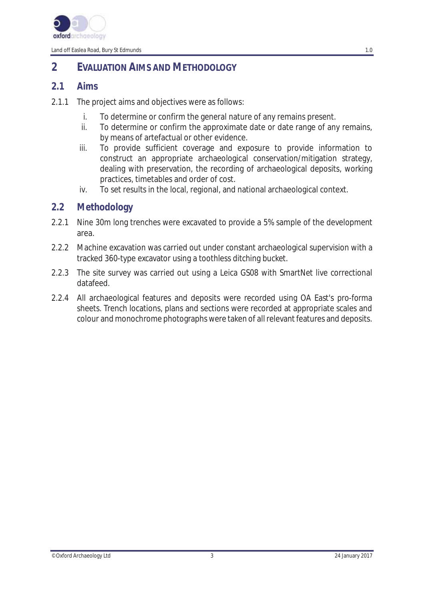

#### **2 EVALUATION AIMS AND METHODOLOGY**

#### **2.1 Aims**

- 2.1.1 The project aims and objectives were as follows:
	- i. To determine or confirm the general nature of any remains present.
	- ii. To determine or confirm the approximate date or date range of any remains, by means of artefactual or other evidence.
	- iii. To provide sufficient coverage and exposure to provide information to construct an appropriate archaeological conservation/mitigation strategy, dealing with preservation, the recording of archaeological deposits, working practices, timetables and order of cost.
	- iv. To set results in the local, regional, and national archaeological context.

#### **2.2 Methodology**

- 2.2.1 Nine 30m long trenches were excavated to provide a 5% sample of the development area.
- 2.2.2 Machine excavation was carried out under constant archaeological supervision with a tracked 360-type excavator using a toothless ditching bucket.
- 2.2.3 The site survey was carried out using a Leica GS08 with SmartNet live correctional datafeed.
- 2.2.4 All archaeological features and deposits were recorded using OA East's *pro-forma* sheets. Trench locations, plans and sections were recorded at appropriate scales and colour and monochrome photographs were taken of all relevant features and deposits.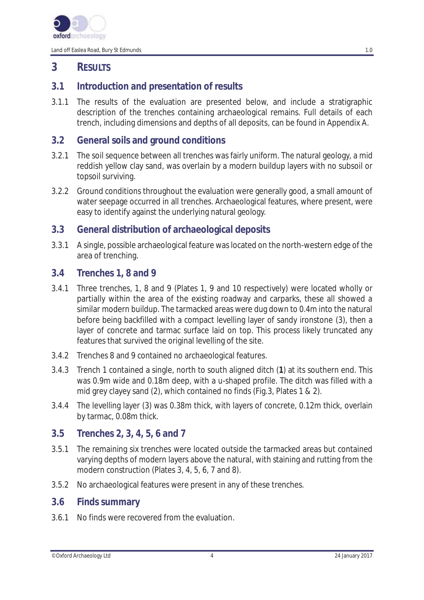

#### **3 RESULTS**

#### **3.1 Introduction and presentation of results**

3.1.1 The results of the evaluation are presented below, and include a stratigraphic description of the trenches containing archaeological remains. Full details of each trench, including dimensions and depths of all deposits, can be found in Appendix A.

#### **3.2 General soils and ground conditions**

- 3.2.1 The soil sequence between all trenches was fairly uniform. The natural geology, a mid reddish yellow clay sand, was overlain by a modern buildup layers with no subsoil or topsoil surviving.
- 3.2.2 Ground conditions throughout the evaluation were generally good, a small amount of water seepage occurred in all trenches. Archaeological features, where present, were easy to identify against the underlying natural geology.

#### **3.3 General distribution of archaeological deposits**

3.3.1 A single, possible archaeological feature was located on the north-western edge of the area of trenching.

#### **3.4 Trenches 1, 8 and 9**

- 3.4.1 Three trenches, 1, 8 and 9 (Plates 1, 9 and 10 respectively) were located wholly or partially within the area of the existing roadway and carparks, these all showed a similar modern buildup. The tarmacked areas were dug down to 0.4m into the natural before being backfilled with a compact levelling layer of sandy ironstone (3), then a layer of concrete and tarmac surface laid on top. This process likely truncated any features that survived the original levelling of the site.
- 3.4.2 Trenches 8 and 9 contained no archaeological features.
- 3.4.3 Trench 1 contained a single, north to south aligned ditch (**1**) at its southern end. This was 0.9m wide and 0.18m deep, with a u-shaped profile. The ditch was filled with a mid grey clayey sand (2), which contained no finds (Fig.3, Plates 1 & 2).
- 3.4.4 The levelling layer (3) was 0.38m thick, with layers of concrete, 0.12m thick, overlain by tarmac, 0.08m thick.

#### **3.5 Trenches 2, 3, 4, 5, 6 and 7**

- 3.5.1 The remaining six trenches were located outside the tarmacked areas but contained varying depths of modern layers above the natural, with staining and rutting from the modern construction (Plates 3, 4, 5, 6, 7 and 8).
- 3.5.2 No archaeological features were present in any of these trenches.

#### **3.6 Finds summary**

3.6.1 No finds were recovered from the evaluation.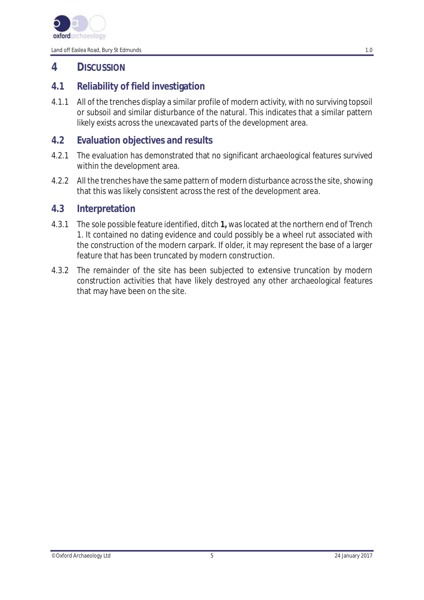

#### **4 DISCUSSION**

#### **4.1 Reliability of field investigation**

4.1.1 All of the trenches display a similar profile of modern activity, with no surviving topsoil or subsoil and similar disturbance of the natural. This indicates that a similar pattern likely exists across the unexcavated parts of the development area.

#### **4.2 Evaluation objectives and results**

- 4.2.1 The evaluation has demonstrated that no significant archaeological features survived within the development area.
- 4.2.2 All the trenches have the same pattern of modern disturbance across the site, showing that this was likely consistent across the rest of the development area.

#### **4.3 Interpretation**

- 4.3.1 The sole possible feature identified, ditch **1,** was located at the northern end of Trench 1. It contained no dating evidence and could possibly be a wheel rut associated with the construction of the modern carpark. If older, it may represent the base of a larger feature that has been truncated by modern construction.
- 4.3.2 The remainder of the site has been subjected to extensive truncation by modern construction activities that have likely destroyed any other archaeological features that may have been on the site.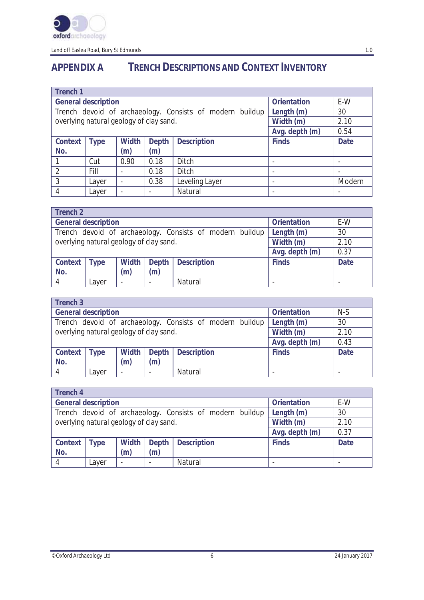

#### **APPENDIX A TRENCH DESCRIPTIONS AND CONTEXT INVENTORY**

| Trench 1       |                                         |                          |              |                                                          |                          |             |  |  |  |
|----------------|-----------------------------------------|--------------------------|--------------|----------------------------------------------------------|--------------------------|-------------|--|--|--|
|                | <b>General description</b>              |                          |              |                                                          | <b>Orientation</b>       | E-W         |  |  |  |
|                |                                         |                          |              | Trench devoid of archaeology. Consists of modern buildup | Length (m)               | 30          |  |  |  |
|                | overlying natural geology of clay sand. |                          |              |                                                          | Width (m)                | 2.10        |  |  |  |
|                |                                         |                          |              |                                                          | Avg. depth (m)           | 0.54        |  |  |  |
| <b>Context</b> | <b>Type</b>                             | <b>Width</b>             | <b>Depth</b> | <b>Description</b>                                       | <b>Finds</b>             | <b>Date</b> |  |  |  |
| No.            |                                         | (m)                      | (m)          |                                                          |                          |             |  |  |  |
|                | Cut                                     | 0.90                     | 0.18         | <b>Ditch</b>                                             |                          |             |  |  |  |
| 2              | Fill                                    | $\overline{\phantom{a}}$ | 0.18         | <b>Ditch</b>                                             |                          |             |  |  |  |
| 3              | Layer                                   | $\overline{\phantom{a}}$ | 0.38         | Leveling Layer                                           |                          | Modern      |  |  |  |
| 4              | Layer                                   | $\overline{\phantom{a}}$ |              | Natural                                                  | $\overline{\phantom{a}}$ |             |  |  |  |

| Trench <sub>2</sub> |                                         |                          |                                                          |                    |                |             |
|---------------------|-----------------------------------------|--------------------------|----------------------------------------------------------|--------------------|----------------|-------------|
|                     | <b>General description</b>              | <b>Orientation</b>       | E-W                                                      |                    |                |             |
|                     |                                         |                          | Trench devoid of archaeology. Consists of modern buildup | Length (m)         | 30             |             |
|                     | overlying natural geology of clay sand. |                          |                                                          |                    | Width (m)      | 2.10        |
|                     |                                         |                          |                                                          |                    | Avg. depth (m) | 0.37        |
| Context             | <b>Type</b>                             | Width                    | Depth                                                    | <b>Description</b> | <b>Finds</b>   | <b>Date</b> |
| No.                 |                                         | (m)                      | (m)                                                      |                    |                |             |
|                     | Layer                                   | $\overline{\phantom{a}}$ |                                                          | Natural            |                |             |

| Trench 3                                |       |                          |              |                                                          |                    |             |  |
|-----------------------------------------|-------|--------------------------|--------------|----------------------------------------------------------|--------------------|-------------|--|
| <b>General description</b>              |       |                          |              |                                                          | <b>Orientation</b> | $N-S$       |  |
|                                         |       |                          |              | Trench devoid of archaeology. Consists of modern buildup | Length (m)         | 30          |  |
| overlying natural geology of clay sand. |       |                          |              |                                                          | Width (m)          | 2.10        |  |
|                                         |       |                          |              |                                                          | Avg. depth (m)     | 0.43        |  |
| Context                                 | Type  | <b>Width</b>             | <b>Depth</b> | <b>Description</b>                                       | <b>Finds</b>       | <b>Date</b> |  |
| No.                                     |       | (m)                      | (m)          |                                                          |                    |             |  |
|                                         | Laver | $\overline{\phantom{a}}$ |              | Natural                                                  |                    |             |  |

| Trench 4                                |                            |                          |                          |                                                          |                    |             |  |  |
|-----------------------------------------|----------------------------|--------------------------|--------------------------|----------------------------------------------------------|--------------------|-------------|--|--|
|                                         | <b>General description</b> |                          |                          |                                                          | <b>Orientation</b> | E-W         |  |  |
|                                         |                            |                          |                          | Trench devoid of archaeology. Consists of modern buildup | Length (m)         | 30          |  |  |
| overlying natural geology of clay sand. |                            |                          |                          |                                                          | Width (m)          | 2.10        |  |  |
|                                         |                            |                          |                          |                                                          | Avg. depth (m)     | 0.37        |  |  |
| Context                                 | <b>Type</b>                | <b>Width</b>             | <b>Depth</b>             | <b>Description</b>                                       | <b>Finds</b>       | <b>Date</b> |  |  |
| No.                                     |                            | (m)                      | (m)                      |                                                          |                    |             |  |  |
|                                         | Layer                      | $\overline{\phantom{a}}$ | $\overline{\phantom{0}}$ | Natural                                                  |                    |             |  |  |

©Oxford Archaeology Ltd 6 24 January 2017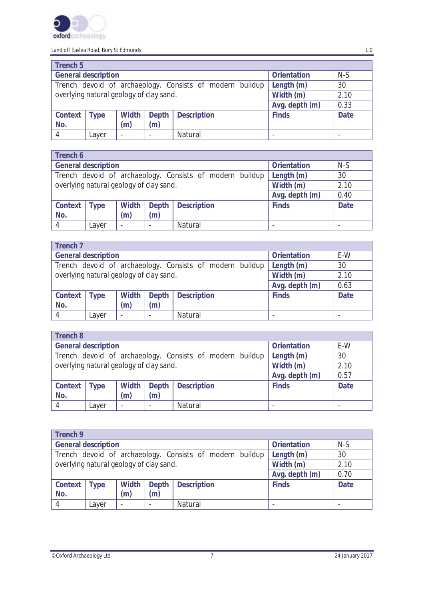

| Trench 5                                                                     |             |                          |              |                    |                    |             |
|------------------------------------------------------------------------------|-------------|--------------------------|--------------|--------------------|--------------------|-------------|
| <b>General description</b>                                                   |             |                          |              |                    | <b>Orientation</b> | $N-S$       |
| 30<br>Length (m)<br>Trench devoid of archaeology. Consists of modern buildup |             |                          |              |                    |                    |             |
| overlying natural geology of clay sand.                                      |             |                          |              |                    | Width (m)          | 2.10        |
|                                                                              |             |                          |              |                    | Avg. depth (m)     | 0.33        |
| Context                                                                      | <b>Type</b> | <b>Width</b>             | <b>Depth</b> | <b>Description</b> | <b>Finds</b>       | <b>Date</b> |
| No.                                                                          |             | (m)                      | (m)          |                    |                    |             |
| 4                                                                            | Laver       | $\overline{\phantom{a}}$ |              | <b>Natural</b>     |                    |             |

| Trench 6                                |                            |                          |                                                          |                    |                |             |
|-----------------------------------------|----------------------------|--------------------------|----------------------------------------------------------|--------------------|----------------|-------------|
|                                         | <b>General description</b> | Orientation              | $N-S$                                                    |                    |                |             |
|                                         |                            |                          | Trench devoid of archaeology. Consists of modern buildup | Length (m)         | 30             |             |
| overlying natural geology of clay sand. |                            |                          |                                                          |                    | Width (m)      | 2.10        |
|                                         |                            |                          |                                                          |                    | Avg. depth (m) | 0.40        |
| Context                                 | <b>Type</b>                | <b>Width</b>             | <b>Depth</b>                                             | <b>Description</b> | <b>Finds</b>   | <b>Date</b> |
| No.                                     |                            | (m)                      | (m)                                                      |                    |                |             |
|                                         | Layer                      | $\overline{\phantom{a}}$ |                                                          | Natural            |                |             |

| Trench <sub>7</sub> |                                         |                          |                                                          |                    |                |             |
|---------------------|-----------------------------------------|--------------------------|----------------------------------------------------------|--------------------|----------------|-------------|
|                     | <b>General description</b>              |                          | <b>Orientation</b>                                       | E-W                |                |             |
|                     |                                         |                          | Trench devoid of archaeology. Consists of modern buildup | Length (m)         | 30             |             |
|                     | overlying natural geology of clay sand. |                          |                                                          |                    | Width (m)      | 2.10        |
|                     |                                         |                          |                                                          |                    | Avg. depth (m) | 0.63        |
| Context             | <b>Type</b>                             | Width                    | <b>Depth</b>                                             | <b>Description</b> | <b>Finds</b>   | <b>Date</b> |
| No.                 |                                         | (m)                      | (m)                                                      |                    |                |             |
|                     | Layer                                   | $\overline{\phantom{0}}$ |                                                          | Natural            |                |             |

| Trench 8                                |                            |                          |                                                          |                    |                |             |
|-----------------------------------------|----------------------------|--------------------------|----------------------------------------------------------|--------------------|----------------|-------------|
|                                         | <b>General description</b> |                          | <b>Orientation</b>                                       | E-W                |                |             |
|                                         |                            |                          | Trench devoid of archaeology. Consists of modern buildup | Length (m)         | 30             |             |
| overlying natural geology of clay sand. |                            |                          |                                                          |                    | Width (m)      | 2.10        |
|                                         |                            |                          |                                                          |                    | Avg. depth (m) | 0.57        |
| Context                                 | <b>Type</b>                | <b>Width</b>             | <b>Depth</b>                                             | <b>Description</b> | <b>Finds</b>   | <b>Date</b> |
| No.                                     |                            | (m)                      | (m)                                                      |                    |                |             |
|                                         | Layer                      | $\overline{\phantom{a}}$ |                                                          | Natural            |                |             |

| Trench 9                                |                            |                          |              |                                                          |                    |             |  |
|-----------------------------------------|----------------------------|--------------------------|--------------|----------------------------------------------------------|--------------------|-------------|--|
|                                         | <b>General description</b> |                          |              |                                                          | <b>Orientation</b> | $N-S$       |  |
|                                         |                            |                          |              | Trench devoid of archaeology. Consists of modern buildup | Length (m)         | 30          |  |
| overlying natural geology of clay sand. |                            |                          |              |                                                          | Width (m)          | 2.10        |  |
|                                         |                            |                          |              |                                                          | Avg. depth (m)     | 0.70        |  |
| Context                                 | <b>Type</b>                | <b>Width</b>             | <b>Depth</b> | <b>Description</b>                                       | <b>Finds</b>       | <b>Date</b> |  |
| No.                                     |                            | (m)                      | (m)          |                                                          |                    |             |  |
|                                         | Layer                      | $\overline{\phantom{a}}$ |              | Natural                                                  |                    |             |  |

©Oxford Archaeology Ltd 7 24 January 2017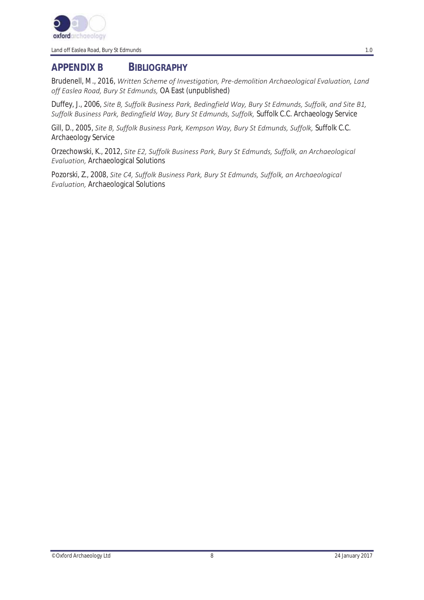

#### **APPENDIX B BIBLIOGRAPHY**

Brudenell, M., 2016, *Written Scheme of Investigation, Pre-demolition Archaeological Evaluation, Land off Easlea Road, Bury St Edmunds,* OA East (unpublished)

Duffey, J., 2006, *Site B, Suffolk Business Park, Bedingfield Way, Bury St Edmunds, Suffolk, and Site B1, Suffolk Business Park, Bedingfield Way, Bury St Edmunds, Suffolk,* Suffolk C.C. Archaeology Service

Gill, D., 2005, *Site B, Suffolk Business Park, Kempson Way, Bury St Edmunds, Suffolk,* Suffolk C.C. Archaeology Service

Orzechowski, K., 2012, *Site E2, Suffolk Business Park, Bury St Edmunds, Suffolk, an Archaeological Evaluation,* Archaeological Solutions

Pozorski, Z., 2008, *Site C4, Suffolk Business Park, Bury St Edmunds, Suffolk, an Archaeological Evaluation,* Archaeological Solutions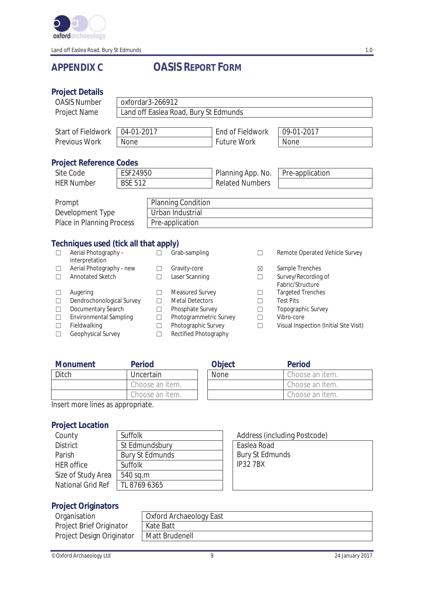

#### **APPENDIX C OASIS REPORT FORM**

Previous Work None Future Work None

#### **Project Details**

| <b>OASIS Number</b>             | oxfordar3-266912                      |                  |              |  |
|---------------------------------|---------------------------------------|------------------|--------------|--|
| Project Name                    | Land off Easlea Road, Bury St Edmunds |                  |              |  |
|                                 |                                       |                  |              |  |
| Start of Fieldwork   04-01-2017 |                                       | End of Fieldwork | $09-01-2017$ |  |

#### **Project Reference Codes**

| Site Code         | ESF24950       | Planning App. No.   Pre-application |  |  |  |  |
|-------------------|----------------|-------------------------------------|--|--|--|--|
| <b>HER Number</b> | <b>BSE 512</b> | <b>Related Numbers</b>              |  |  |  |  |
|                   |                |                                     |  |  |  |  |

| Prompt                    | <b>Planning Condition</b> |
|---------------------------|---------------------------|
| Development Type          | Urban Industrial          |
| Place in Planning Process | Pre-application           |

#### **Techniques used (tick all that apply)**

| Aerial Photography -<br>interpretation | Grab-sampling          |   | Remote Operated Vehicle Survey         |
|----------------------------------------|------------------------|---|----------------------------------------|
| Aerial Photography - new               | Gravity-core           | ⊠ | Sample Trenches                        |
| Annotated Sketch                       | Laser Scanning         |   | Survey/Recording of                    |
|                                        |                        |   | Fabric/Structure                       |
| Augering                               | Measured Survey        |   | Targeted Trenches                      |
| Dendrochonological Survey              | <b>Metal Detectors</b> |   | <b>Test Pits</b>                       |
| Documentary Search                     | Phosphate Survey       |   | Topographic Survey                     |
| <b>Environmental Sampling</b>          | Photogrammetric Survey |   | Vibro-core                             |
| Fieldwalking                           | Photographic Survey    |   | Visual Inspection (Initial Site Visit) |
| Geophysical Survey                     | Rectified Photography  |   |                                        |
|                                        |                        |   |                                        |

| Monument     | Period          | <b>Object</b> | Period          |
|--------------|-----------------|---------------|-----------------|
| <b>Ditch</b> | Uncertain       | <b>None</b>   | Choose an item. |
|              | Choose an item. |               | Choose an item. |
|              | Choose an item. |               | Choose an item. |
| $\cdots$     |                 |               |                 |

Insert more lines as appropriate.

#### **Project Location**

| County             | Suffolk                |
|--------------------|------------------------|
| <b>District</b>    | St Edmundsbury         |
| Parish             | <b>Bury St Edmunds</b> |
| <b>HER</b> office  | Suffolk                |
| Size of Study Area | 540 sq.m               |
| National Grid Ref  | TL 8769 6365           |

#### **Project Originators**

| Organisation              | Oxford Archaeology East |
|---------------------------|-------------------------|
| Project Brief Originator  | Kate Batt               |
| Project Design Originator | Matt Brudenell          |
|                           |                         |

Address (including Postcode)

Easlea Road Bury St Edmunds

IP32 7BX

©Oxford Archaeology Ltd 9 24 January 2017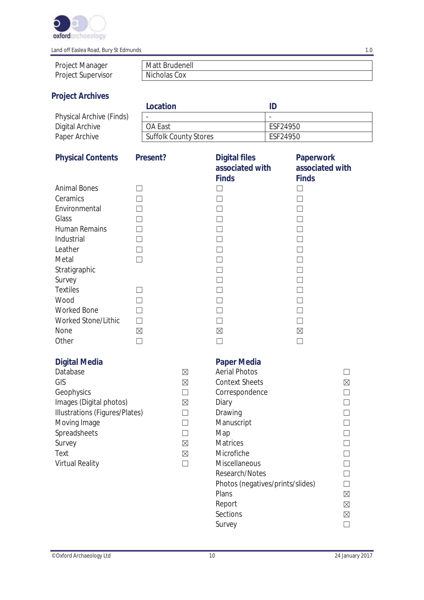

| <b>Project Manager</b>    | Matt Brudenell |
|---------------------------|----------------|
| <b>Project Supervisor</b> | Nicholas Cox   |

#### **Project Archives**

|                          | Location                     |          |
|--------------------------|------------------------------|----------|
| Physical Archive (Finds) |                              |          |
| Digital Archive          | OA East                      | FSF24950 |
| Paper Archive            | <b>Suffolk County Stores</b> | FSF24950 |

| <b>Physical Contents</b>       | Present?    |             | <b>Digital files</b><br>associated with<br><b>Finds</b> | Paperwork<br>associated with<br><b>Finds</b> |  |
|--------------------------------|-------------|-------------|---------------------------------------------------------|----------------------------------------------|--|
| <b>Animal Bones</b>            | $\Box$      |             | $\Box$                                                  | $\Box$                                       |  |
| Ceramics                       |             |             | $\vert \ \ \vert$                                       | $\Box$                                       |  |
| Environmental                  |             |             | $\Box$                                                  | $\Box$                                       |  |
| Glass                          | ⊐           |             | $\Box$                                                  | $\Box$                                       |  |
| Human Remains                  |             |             | П                                                       | $\Box$                                       |  |
| Industrial                     | ┓           |             | П                                                       | $\Box$                                       |  |
| Leather                        | П           |             | $\Box$                                                  | $\Box$                                       |  |
| Metal                          |             |             | П                                                       | $\Box$                                       |  |
| Stratigraphic                  |             |             | $\Box$                                                  | $\Box$                                       |  |
| Survey                         |             |             | $\Box$                                                  | $\Box$                                       |  |
| <b>Textiles</b>                | ┓           |             | $\Box$                                                  | $\Box$                                       |  |
| Wood                           | ┓           |             | $\Box$                                                  | $\Box$                                       |  |
| <b>Worked Bone</b>             | П           |             | $\Box$                                                  | $\Box$                                       |  |
| Worked Stone/Lithic            | $\Box$      |             | П                                                       | $\Box$                                       |  |
| None                           | $\boxtimes$ |             | $\boxtimes$                                             | $\boxtimes$                                  |  |
| Other                          | $\Box$      |             | $\Box$                                                  | $\Box$                                       |  |
| <b>Digital Media</b>           |             |             | <b>Paper Media</b>                                      |                                              |  |
| Database                       |             | $\boxtimes$ | <b>Aerial Photos</b>                                    |                                              |  |
| GIS                            |             | $\boxtimes$ | <b>Context Sheets</b>                                   | $\boxtimes$                                  |  |
| Geophysics                     |             | $\Box$      | Correspondence                                          |                                              |  |
| Images (Digital photos)        |             | $\boxtimes$ | Diary                                                   |                                              |  |
| Illustrations (Figures/Plates) |             | $\Box$      | Drawing                                                 |                                              |  |
| Moving Image                   |             | $\Box$      | Manuscript                                              |                                              |  |
| Spreadsheets                   |             | $\Box$      | Map                                                     |                                              |  |
| Survey                         |             | $\boxtimes$ | Matrices                                                |                                              |  |
| Text                           |             | $\boxtimes$ | Microfiche                                              |                                              |  |
| Virtual Reality                |             | $\Box$      | Miscellaneous                                           |                                              |  |
|                                |             |             | Research/Notes                                          |                                              |  |

Photos (negatives/prints/slides)  $\Box$ Plans  $\boxtimes$ Report **⊠** Sections  $\boxtimes$ Survey and the state of  $\Box$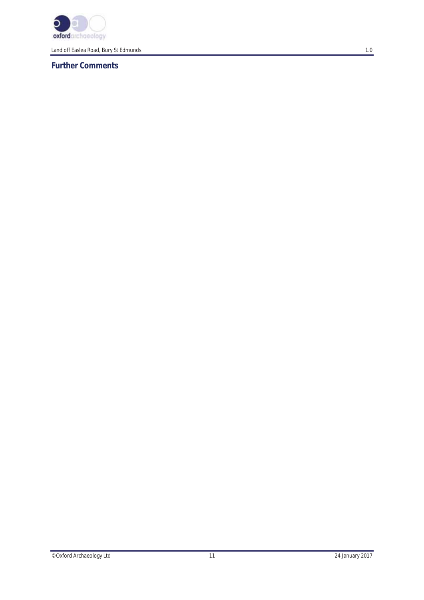

#### **Further Comments**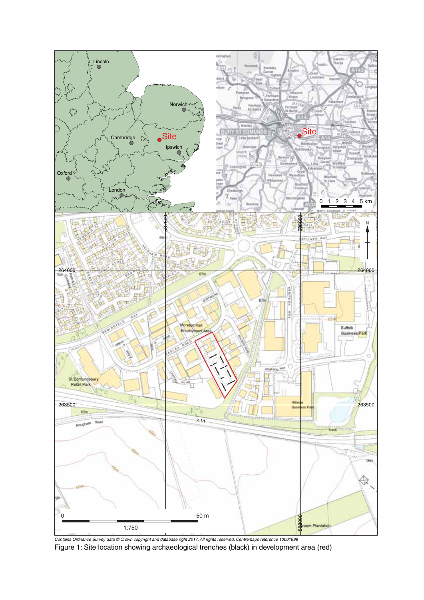

Figure 1: Site location showing archaeological trenches (black) in development area (red)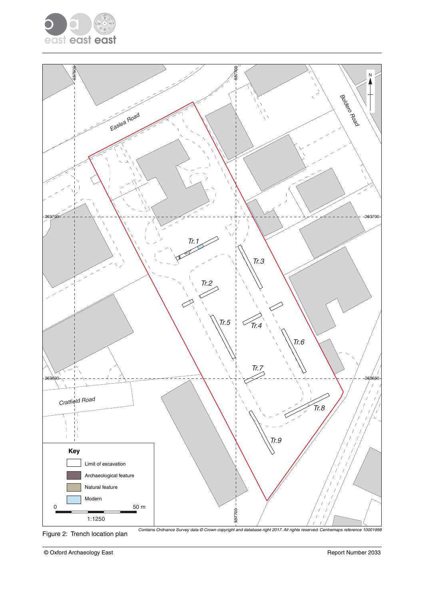



Figure 2: Trench location plan Contains Ordnance Survey data © Crown copyright and database right 2017. All rights reserved. Centremaps reference 10001998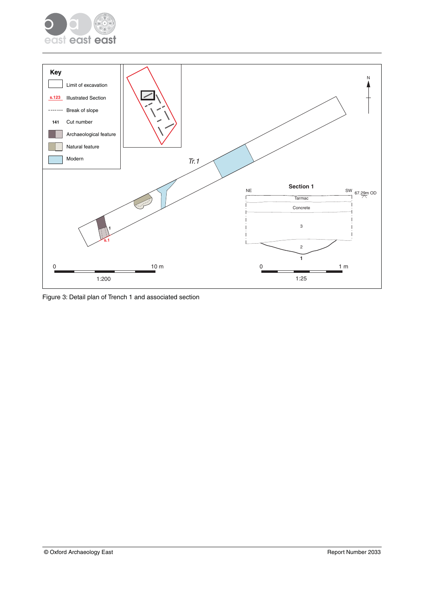



Figure 3: Detail plan of Trench 1 and associated section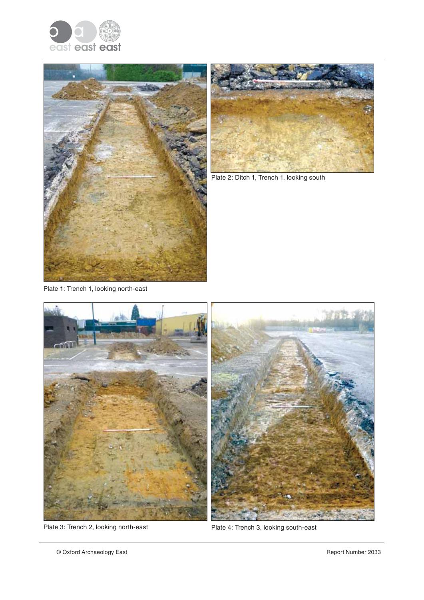





Plate 2: Ditch **1**, Trench 1, looking south

Plate 1: Trench 1, looking north-east



Plate 3: Trench 2, looking north-east

Plate 4: Trench 3, looking south-east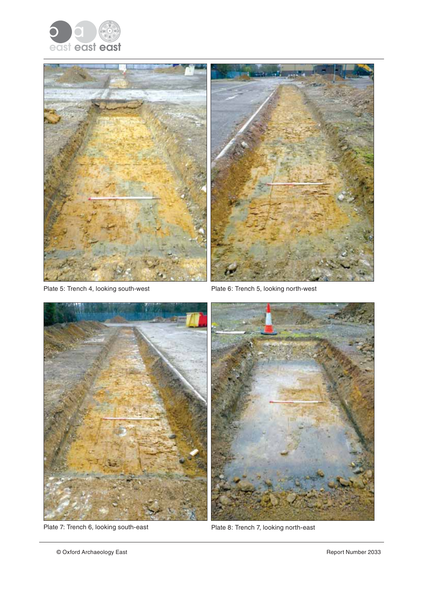



Plate 5: Trench 4, looking south-west



Plate 6: Trench 5, looking north-west



Plate 7: Trench 6, looking south-east



Plate 8: Trench 7, looking north-east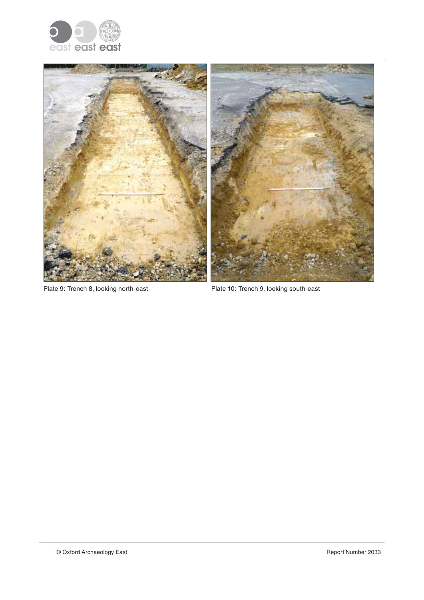



Plate 9: Trench 8, looking north-east Plate 10: Trench 9, looking south-east